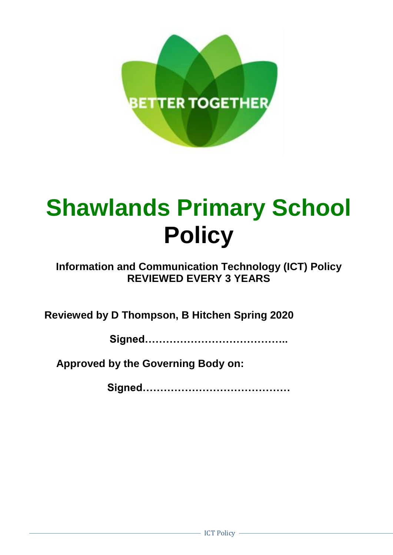

# **Shawlands Primary School Policy**

# **Information and Communication Technology (ICT) Policy REVIEWED EVERY 3 YEARS**

**Reviewed by D Thompson, B Hitchen Spring 2020**

**Signed…………………………………..**

**Approved by the Governing Body on:**

**Signed……………………………………**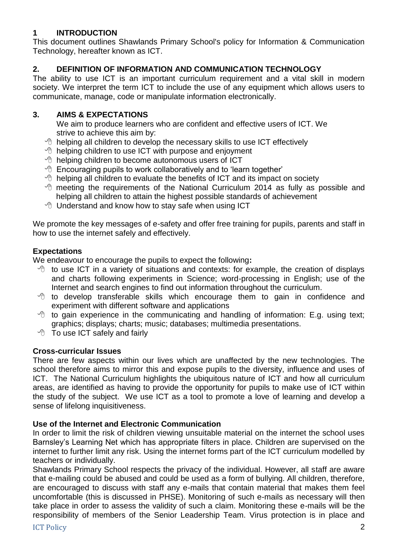# **1 INTRODUCTION**

This document outlines Shawlands Primary School's policy for Information & Communication Technology, hereafter known as ICT.

# **2. DEFINITION OF INFORMATION AND COMMUNICATION TECHNOLOGY**

The ability to use ICT is an important curriculum requirement and a vital skill in modern society. We interpret the term ICT to include the use of any equipment which allows users to communicate, manage, code or manipulate information electronically.

# **3. AIMS & EXPECTATIONS**

We aim to produce learners who are confident and effective users of ICT. We strive to achieve this aim by:

- $\Diamond$  helping all children to develop the necessary skills to use ICT effectively
- $\Theta$  helping children to use ICT with purpose and enjoyment
- $\Theta$  helping children to become autonomous users of ICT
- $\Diamond$  Encouraging pupils to work collaboratively and to 'learn together'
- $\Diamond$  helping all children to evaluate the benefits of ICT and its impact on society
- $\sqrt{\theta}$  meeting the requirements of the National Curriculum 2014 as fully as possible and helping all children to attain the highest possible standards of achievement
- $\Theta$  Understand and know how to stay safe when using ICT

We promote the key messages of e-safety and offer free training for pupils, parents and staff in how to use the internet safely and effectively.

# **Expectations**

We endeavour to encourage the pupils to expect the following**:**

- $\Diamond$  to use ICT in a variety of situations and contexts: for example, the creation of displays and charts following experiments in Science; word-processing in English; use of the Internet and search engines to find out information throughout the curriculum.
- $\Diamond$  to develop transferable skills which encourage them to gain in confidence and experiment with different software and applications
- $\Diamond$  to gain experience in the communicating and handling of information: E.g. using text; graphics; displays; charts; music; databases; multimedia presentations.
- *To use ICT safely and fairly*

# **Cross-curricular Issues**

There are few aspects within our lives which are unaffected by the new technologies. The school therefore aims to mirror this and expose pupils to the diversity, influence and uses of ICT. The National Curriculum highlights the ubiquitous nature of ICT and how all curriculum areas, are identified as having to provide the opportunity for pupils to make use of ICT within the study of the subject. We use ICT as a tool to promote a love of learning and develop a sense of lifelong inquisitiveness.

#### **Use of the Internet and Electronic Communication**

In order to limit the risk of children viewing unsuitable material on the internet the school uses Barnsley's Learning Net which has appropriate filters in place. Children are supervised on the internet to further limit any risk. Using the internet forms part of the ICT curriculum modelled by teachers or individually.

Shawlands Primary School respects the privacy of the individual. However, all staff are aware that e-mailing could be abused and could be used as a form of bullying. All children, therefore, are encouraged to discuss with staff any e-mails that contain material that makes them feel uncomfortable (this is discussed in PHSE). Monitoring of such e-mails as necessary will then take place in order to assess the validity of such a claim. Monitoring these e-mails will be the responsibility of members of the Senior Leadership Team. Virus protection is in place and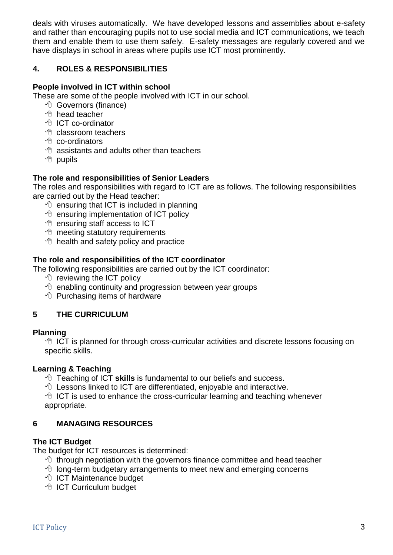deals with viruses automatically. We have developed lessons and assemblies about e-safety and rather than encouraging pupils not to use social media and ICT communications, we teach them and enable them to use them safely. E-safety messages are regularly covered and we have displays in school in areas where pupils use ICT most prominently.

#### **4. ROLES & RESPONSIBILITIES**

#### **People involved in ICT within school**

These are some of the people involved with ICT in our school.

- <sup>t</sup> Governors (finance)
- $\Theta$  head teacher
- <sup></sub><sup>O</sup> ICT co-ordinator</sup>
- $\sqrt{a}$  classroom teachers
- $\sqrt{p}$  co-ordinators
- $\Diamond$  assistants and adults other than teachers
- $\Theta$  pupils

#### **The role and responsibilities of Senior Leaders**

The roles and responsibilities with regard to ICT are as follows. The following responsibilities are carried out by the Head teacher:

- $\Diamond$  ensuring that ICT is included in planning
- $\Theta$  ensuring implementation of ICT policy
- **<sup>t</sup>** ensuring staff access to ICT
- $\Theta$  meeting statutory requirements
- $\Diamond$  health and safety policy and practice

#### **The role and responsibilities of the ICT coordinator**

The following responsibilities are carried out by the ICT coordinator:

- $\Theta$  reviewing the ICT policy
- $\Theta$  enabling continuity and progression between year groups
- $\Theta$  Purchasing items of hardware

# **5 THE CURRICULUM**

#### **Planning**

 $\Diamond$  ICT is planned for through cross-curricular activities and discrete lessons focusing on specific skills.

#### **Learning & Teaching**

*T* Teaching of ICT skills is fundamental to our beliefs and success.

 $\Diamond$  Lessons linked to ICT are differentiated, enjoyable and interactive.

 $\Theta$  ICT is used to enhance the cross-curricular learning and teaching whenever appropriate.

# **6 MANAGING RESOURCES**

#### **The ICT Budget**

The budget for ICT resources is determined:

- $\Diamond$  through negotiation with the governors finance committee and head teacher
- $\Diamond$  long-term budgetary arrangements to meet new and emerging concerns
- **<sup>t</sup> ICT Maintenance budget**
- <sup></sub><sup>O</sup> ICT Curriculum budget</sup>